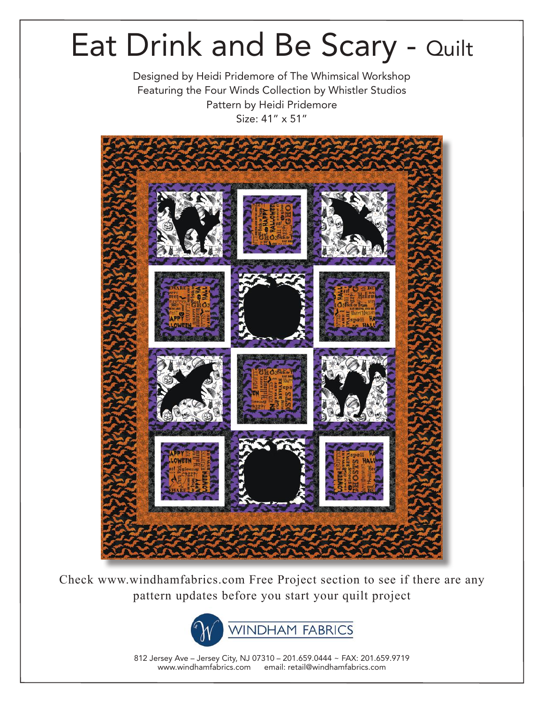Designed by Heidi Pridemore of The Whimsical Workshop Featuring the Four Winds Collection by Whistler Studios Pattern by Heidi Pridemore Size: 41" x 51"



Check www.windhamfabrics.com Free Project section to see if there are any pattern updates before you start your quilt project



812 Jersey Ave – Jersey City, NJ 07310 – 201.659.0444 ~ FAX: 201.659.9719 www.windhamfabrics.com email: retail@windhamfabrics.com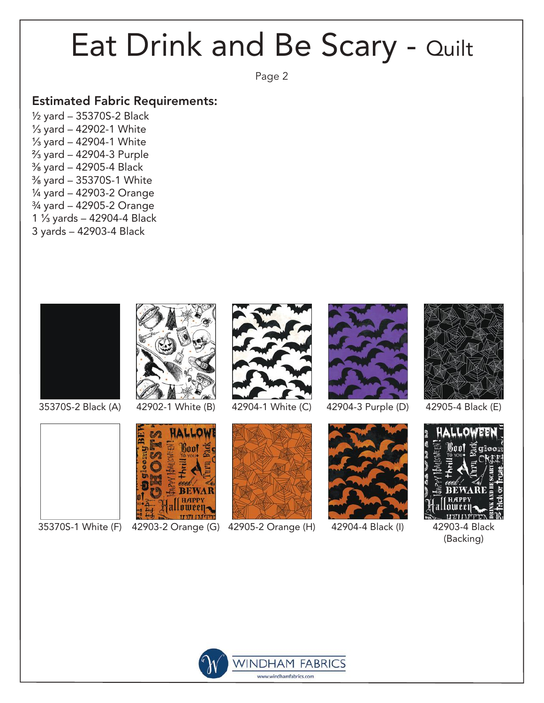Page 2

#### Estimated Fabric Requirements:

½ yard – 35370S-2 Black ⅓ yard – 42902-1 White ⅓ yard – 42904-1 White ⅔ yard – 42904-3 Purple ⅜ yard – 42905-4 Black ⅜ yard – 35370S-1 White ¼ yard – 42903-2 Orange ¾ yard – 42905-2 Orange 1 ⅓ yards – 42904-4 Black 3 yards – 42903-4 Black





35370S-1 White (F) 42903-2 Orange (G) 42905-2 Orange (H)

**HALLOW** Baol

**REWA** 







42904-3 Purple (D)



42904-4 Black (I)



42905-4 Black (E)



42903-4 Black (Backing)

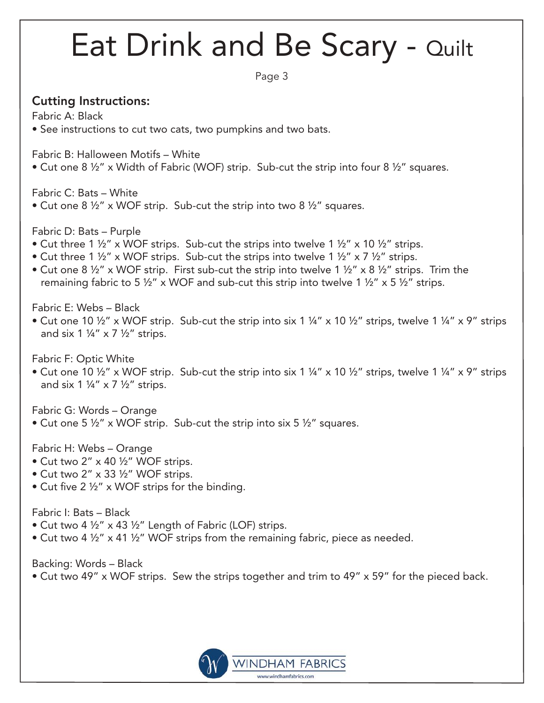Page 3

### Cutting Instructions:

Fabric A: Black

• See instructions to cut two cats, two pumpkins and two bats.

Fabric B: Halloween Motifs – White

• Cut one 8 ½" x Width of Fabric (WOF) strip. Sub-cut the strip into four 8 ½" squares.

Fabric C: Bats – White

• Cut one  $8\frac{1}{2}$ " x WOF strip. Sub-cut the strip into two  $8\frac{1}{2}$ " squares.

Fabric D: Bats – Purple

- Cut three 1  $\frac{1}{2}$ " x WOF strips. Sub-cut the strips into twelve 1  $\frac{1}{2}$ " x 10  $\frac{1}{2}$ " strips.
- Cut three 1  $\frac{1}{2}$  x WOF strips. Sub-cut the strips into twelve 1  $\frac{1}{2}$  x 7  $\frac{1}{2}$  strips.
- Cut one 8  $\frac{1}{2}$ " x WOF strip. First sub-cut the strip into twelve 1  $\frac{1}{2}$ " x 8  $\frac{1}{2}$ " strips. Trim the remaining fabric to 5  $\frac{1}{2}$ " x WOF and sub-cut this strip into twelve 1  $\frac{1}{2}$ " x 5  $\frac{1}{2}$ " strips.

Fabric E: Webs – Black

• Cut one 10  $\frac{1}{2}$ " x WOF strip. Sub-cut the strip into six 1  $\frac{1}{4}$ " x 10  $\frac{1}{2}$ " strips, twelve 1  $\frac{1}{4}$ " x 9" strips and six 1  $\frac{1}{4}$ " x 7  $\frac{1}{2}$ " strips.

Fabric F: Optic White

• Cut one 10 ½" x WOF strip. Sub-cut the strip into six 1 ¼" x 10 ½" strips, twelve 1 ¼" x 9" strips and six 1  $\frac{1}{4}$ " x 7  $\frac{1}{2}$ " strips.

Fabric G: Words – Orange

• Cut one 5 ½" x WOF strip. Sub-cut the strip into six 5 ½" squares.

Fabric H: Webs – Orange

- Cut two 2" x 40 ½" WOF strips.
- Cut two 2" x 33 ½" WOF strips.
- Cut five 2 ½" x WOF strips for the binding.

Fabric I: Bats – Black

- Cut two 4 ½" x 43 ½" Length of Fabric (LOF) strips.
- Cut two 4  $\frac{1}{2}$ " x 41  $\frac{1}{2}$ " WOF strips from the remaining fabric, piece as needed.

Backing: Words – Black

• Cut two 49" x WOF strips. Sew the strips together and trim to 49" x 59" for the pieced back.

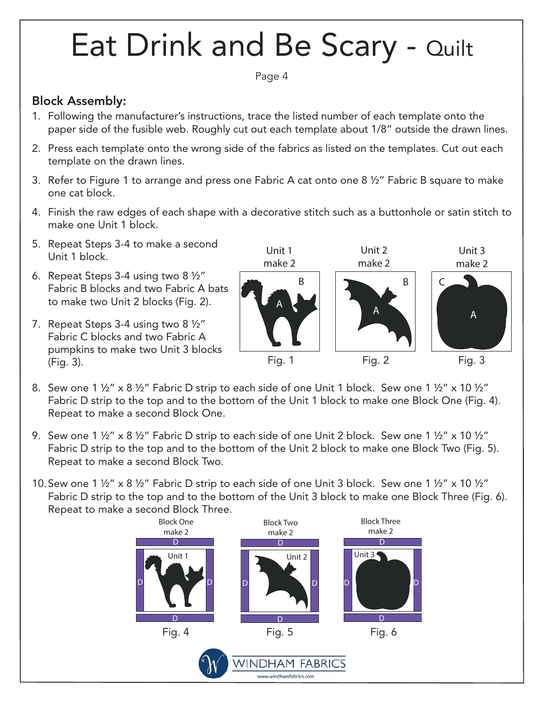Page 4

### Block Assembly:

- 1. Following the manufacturer's instructions, trace the listed number of each template onto the paper side of the fusible web. Roughly cut out each template about 1/8" outside the drawn lines.
- 2. Press each template onto the wrong side of the fabrics as listed on the templates. Cut out each template on the drawn lines.
- 3. Refer to Figure 1 to arrange and press one Fabric A cat onto one 8 ½" Fabric B square to make one cat block.
- 4. Finish the raw edges of each shape with a decorative stitch such as a buttonhole or satin stitch to make one Unit 1 block.
- 5. Repeat Steps 3-4 to make a second Unit 1 block.
- 6. Repeat Steps 3-4 using two 8 ½" Fabric B blocks and two Fabric A bats to make two Unit 2 blocks (Fig. 2).

7. Repeat Steps 3-4 using two 8 ½"

Fabric C blocks and two Fabric A



- pumpkins to make two Unit 3 blocks (Fig. 3).
	- 8. Sew one 1 ½" x 8 ½" Fabric D strip to each side of one Unit 1 block. Sew one 1 ½" x 10 ½" Fabric D strip to the top and to the bottom of the Unit 1 block to make one Block One (Fig. 4). Repeat to make a second Block One.
	- 9. Sew one 1 ½" x 8 ½" Fabric D strip to each side of one Unit 2 block. Sew one 1 ½" x 10 ½" Fabric D strip to the top and to the bottom of the Unit 2 block to make one Block Two (Fig. 5). Repeat to make a second Block Two.
	- 10. Sew one 1 ½" x 8 ½" Fabric D strip to each side of one Unit 3 block. Sew one 1 ½" x 10 ½" Fabric D strip to the top and to the bottom of the Unit 3 block to make one Block Three (Fig. 6). Repeat to make a second Block Three.

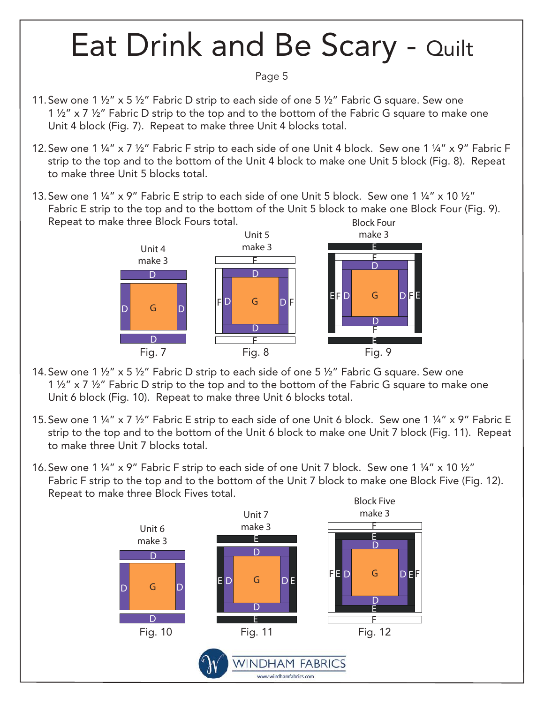#### Page 5

- 11. Sew one 1 ½" x 5 ½" Fabric D strip to each side of one 5 ½" Fabric G square. Sew one 1 ½" x 7 ½" Fabric D strip to the top and to the bottom of the Fabric G square to make one Unit 4 block (Fig. 7). Repeat to make three Unit 4 blocks total.
- 12. Sew one 1 ¼" x 7 ½" Fabric F strip to each side of one Unit 4 block. Sew one 1 ¼" x 9" Fabric F strip to the top and to the bottom of the Unit 4 block to make one Unit 5 block (Fig. 8). Repeat to make three Unit 5 blocks total.
- 13. Sew one 1 ¼" x 9" Fabric E strip to each side of one Unit 5 block. Sew one 1 ¼" x 10 ½" Block Four Fabric E strip to the top and to the bottom of the Unit 5 block to make one Block Four (Fig. 9). Repeat to make three Block Fours total.



- 14. Sew one 1 ½" x 5 ½" Fabric D strip to each side of one 5 ½" Fabric G square. Sew one 1 ½" x 7 ½" Fabric D strip to the top and to the bottom of the Fabric G square to make one Unit 6 block (Fig. 10). Repeat to make three Unit 6 blocks total.
- 15.Sew one 1 ¼" x 7 ½" Fabric E strip to each side of one Unit 6 block. Sew one 1 ¼" x 9" Fabric E strip to the top and to the bottom of the Unit 6 block to make one Unit 7 block (Fig. 11). Repeat to make three Unit 7 blocks total.
- 16.Sew one 1 ¼" x 9" Fabric F strip to each side of one Unit 7 block. Sew one 1 ¼" x 10 ½" Fabric F strip to the top and to the bottom of the Unit 7 block to make one Block Five (Fig. 12). Repeat to make three Block Fives total.

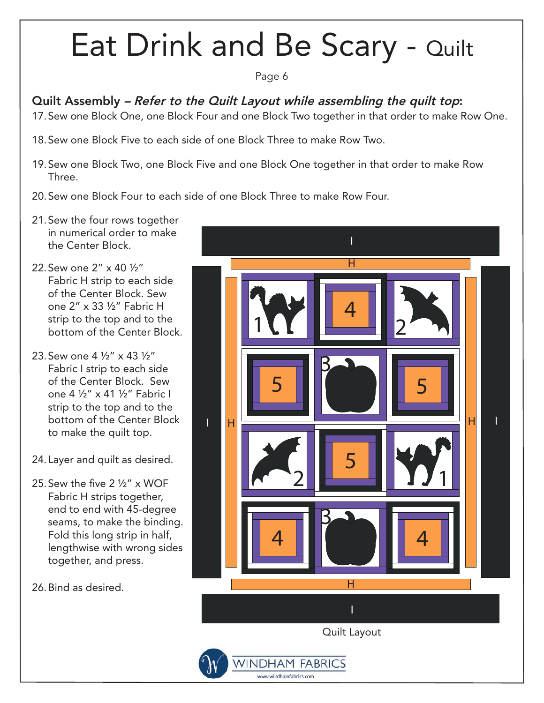#### Page 6

### Quilt Assembly – Refer to the Quilt Layout while assembling the quilt top:

- 17. Sew one Block One, one Block Four and one Block Two together in that order to make Row One.
- 18. Sew one Block Five to each side of one Block Three to make Row Two.
- 19. Sew one Block Two, one Block Five and one Block One together in that order to make Row Three.
- 20. Sew one Block Four to each side of one Block Three to make Row Four.
- 21. Sew the four rows together in numerical order to make the Center Block.
- 22. Sew one 2" x 40 ½" Fabric H strip to each side of the Center Block. Sew one 2" x 33 ½" Fabric H strip to the top and to the bottom of the Center Block.
- 23. Sew one 4 ½" x 43 ½" Fabric I strip to each side of the Center Block. Sew one 4 ½" x 41 ½" Fabric I strip to the top and to the bottom of the Center Block to make the quilt top.
- 24. Layer and quilt as desired.
- 25. Sew the five 2 ½" x WOF Fabric H strips together, end to end with 45-degree seams, to make the binding. Fold this long strip in half, lengthwise with wrong sides together, and press.

26. Bind as desired.

![](_page_5_Picture_13.jpeg)

www.windhamfabrics.com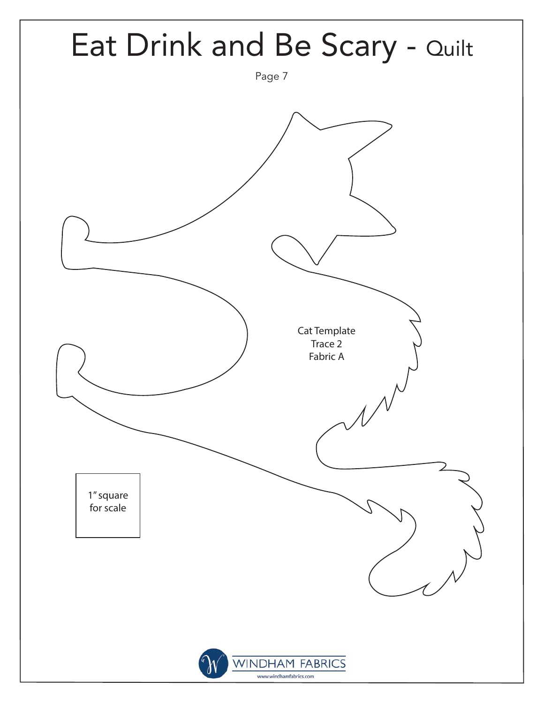![](_page_6_Figure_0.jpeg)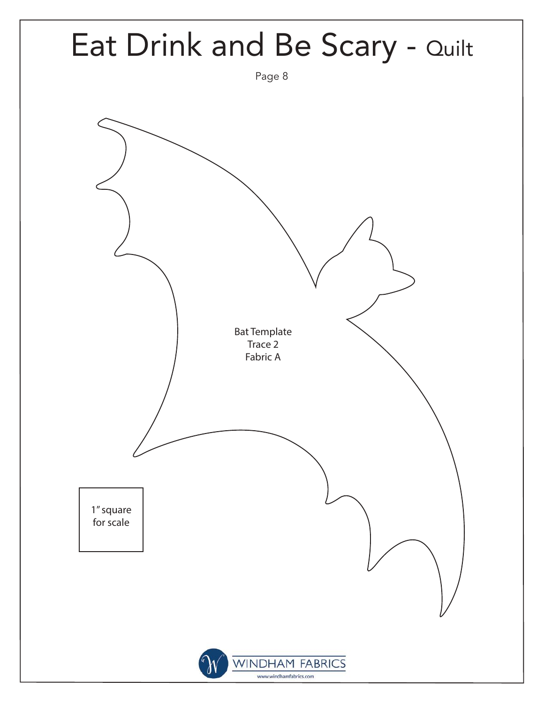![](_page_7_Figure_0.jpeg)